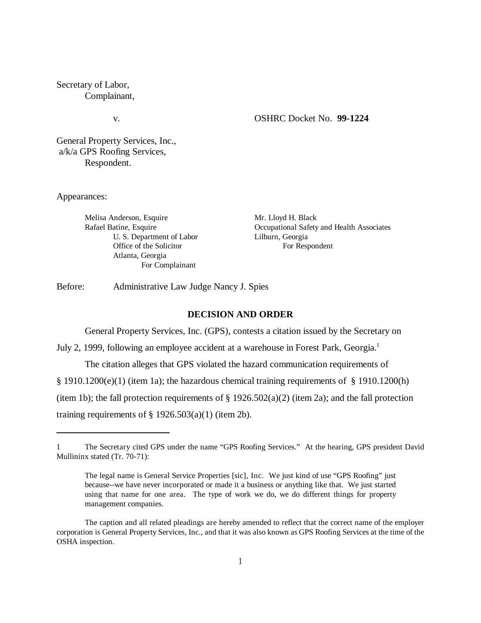Secretary of Labor, Complainant,

### v. OSHRC Docket No. **99-1224**

General Property Services, Inc., a/k/a GPS Roofing Services, Respondent.

Appearances:

| Melisa Anderson, Esquire  | Mr. Lloyd H. Black                        |  |  |
|---------------------------|-------------------------------------------|--|--|
| Rafael Batine, Esquire    | Occupational Safety and Health Associates |  |  |
| U. S. Department of Labor | Lilburn, Georgia                          |  |  |
| Office of the Solicitor   | For Respondent                            |  |  |
| Atlanta, Georgia          |                                           |  |  |
| For Complainant           |                                           |  |  |

Before: Administrative Law Judge Nancy J. Spies

#### **DECISION AND ORDER**

General Property Services, Inc. (GPS), contests a citation issued by the Secretary on

July 2, 1999, following an employee accident at a warehouse in Forest Park, Georgia.<sup>1</sup>

The citation alleges that GPS violated the hazard communication requirements of

§ 1910.1200(e)(1) (item 1a); the hazardous chemical training requirements of § 1910.1200(h)

(item 1b); the fall protection requirements of  $\S$  1926.502(a)(2) (item 2a); and the fall protection

training requirements of  $\S$  1926.503(a)(1) (item 2b).

<sup>1</sup> The Secretary cited GPS under the name "GPS Roofing Services." At the hearing, GPS president David Mullininx stated (Tr. 70-71):

The legal name is General Service Properties [sic], Inc. We just kind of use "GPS Roofing" just because--we have never incorporated or made it a business or anything like that. We just started using that name for one area. The type of work we do, we do different things for property management companies.

The caption and all related pleadings are hereby amended to reflect that the correct name of the employer corporation is General Property Services, Inc., and that it was also known as GPS Roofing Services at the time of the OSHA inspection.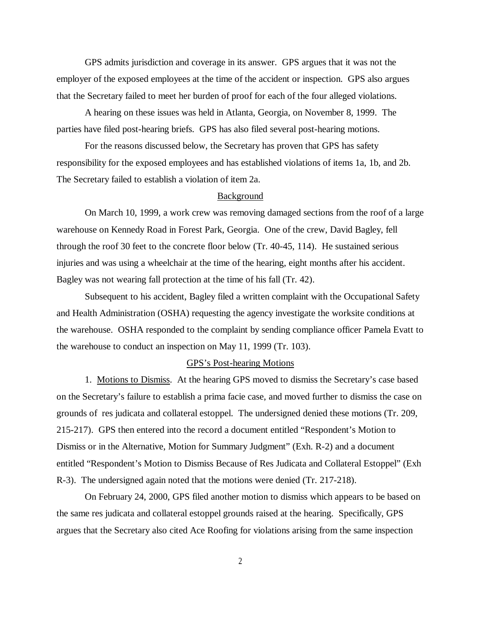GPS admits jurisdiction and coverage in its answer. GPS argues that it was not the employer of the exposed employees at the time of the accident or inspection. GPS also argues that the Secretary failed to meet her burden of proof for each of the four alleged violations.

A hearing on these issues was held in Atlanta, Georgia, on November 8, 1999. The parties have filed post-hearing briefs. GPS has also filed several post-hearing motions.

For the reasons discussed below, the Secretary has proven that GPS has safety responsibility for the exposed employees and has established violations of items 1a, 1b, and 2b. The Secretary failed to establish a violation of item 2a.

## Background

On March 10, 1999, a work crew was removing damaged sections from the roof of a large warehouse on Kennedy Road in Forest Park, Georgia. One of the crew, David Bagley, fell through the roof 30 feet to the concrete floor below (Tr. 40-45, 114). He sustained serious injuries and was using a wheelchair at the time of the hearing, eight months after his accident. Bagley was not wearing fall protection at the time of his fall (Tr. 42).

Subsequent to his accident, Bagley filed a written complaint with the Occupational Safety and Health Administration (OSHA) requesting the agency investigate the worksite conditions at the warehouse. OSHA responded to the complaint by sending compliance officer Pamela Evatt to the warehouse to conduct an inspection on May 11, 1999 (Tr. 103).

## GPS's Post-hearing Motions

1. Motions to Dismiss. At the hearing GPS moved to dismiss the Secretary's case based on the Secretary's failure to establish a prima facie case, and moved further to dismiss the case on grounds of res judicata and collateral estoppel. The undersigned denied these motions (Tr. 209, 215-217). GPS then entered into the record a document entitled "Respondent's Motion to Dismiss or in the Alternative, Motion for Summary Judgment" (Exh. R-2) and a document entitled "Respondent's Motion to Dismiss Because of Res Judicata and Collateral Estoppel" (Exh R-3). The undersigned again noted that the motions were denied (Tr. 217-218).

On February 24, 2000, GPS filed another motion to dismiss which appears to be based on the same res judicata and collateral estoppel grounds raised at the hearing. Specifically, GPS argues that the Secretary also cited Ace Roofing for violations arising from the same inspection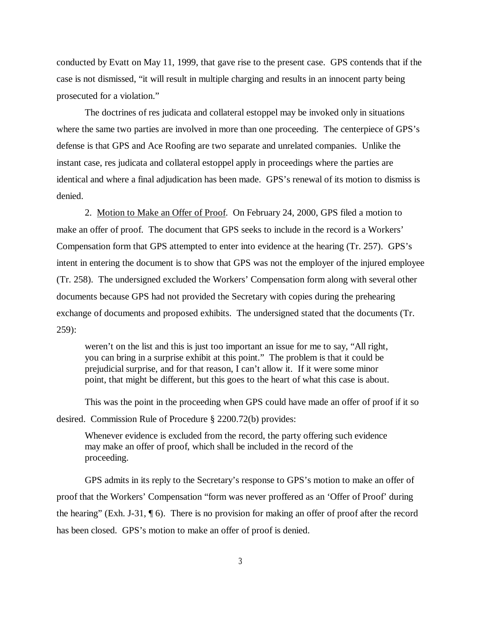conducted by Evatt on May 11, 1999, that gave rise to the present case. GPS contends that if the case is not dismissed, "it will result in multiple charging and results in an innocent party being prosecuted for a violation."

The doctrines of res judicata and collateral estoppel may be invoked only in situations where the same two parties are involved in more than one proceeding. The centerpiece of GPS's defense is that GPS and Ace Roofing are two separate and unrelated companies. Unlike the instant case, res judicata and collateral estoppel apply in proceedings where the parties are identical and where a final adjudication has been made. GPS's renewal of its motion to dismiss is denied.

2. Motion to Make an Offer of Proof. On February 24, 2000, GPS filed a motion to make an offer of proof. The document that GPS seeks to include in the record is a Workers' Compensation form that GPS attempted to enter into evidence at the hearing (Tr. 257). GPS's intent in entering the document is to show that GPS was not the employer of the injured employee (Tr. 258). The undersigned excluded the Workers' Compensation form along with several other documents because GPS had not provided the Secretary with copies during the prehearing exchange of documents and proposed exhibits. The undersigned stated that the documents (Tr. 259):

weren't on the list and this is just too important an issue for me to say, "All right, you can bring in a surprise exhibit at this point." The problem is that it could be prejudicial surprise, and for that reason, I can't allow it. If it were some minor point, that might be different, but this goes to the heart of what this case is about.

This was the point in the proceeding when GPS could have made an offer of proof if it so desired. Commission Rule of Procedure § 2200.72(b) provides:

Whenever evidence is excluded from the record, the party offering such evidence may make an offer of proof, which shall be included in the record of the proceeding.

GPS admits in its reply to the Secretary's response to GPS's motion to make an offer of proof that the Workers' Compensation "form was never proffered as an 'Offer of Proof' during the hearing" (Exh. J-31, ¶ 6). There is no provision for making an offer of proof after the record has been closed. GPS's motion to make an offer of proof is denied.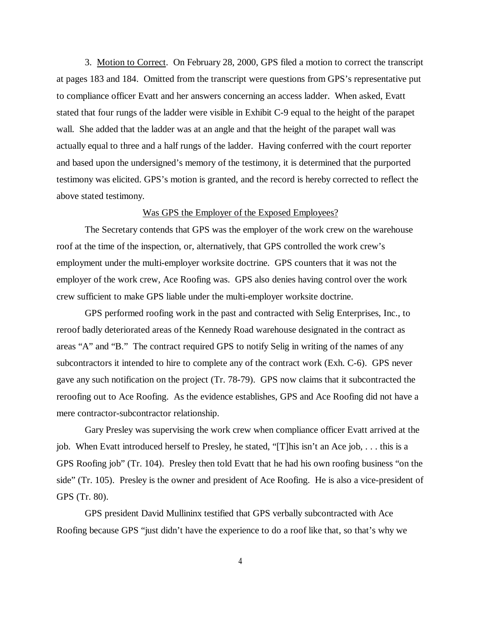3. Motion to Correct. On February 28, 2000, GPS filed a motion to correct the transcript at pages 183 and 184. Omitted from the transcript were questions from GPS's representative put to compliance officer Evatt and her answers concerning an access ladder. When asked, Evatt stated that four rungs of the ladder were visible in Exhibit C-9 equal to the height of the parapet wall. She added that the ladder was at an angle and that the height of the parapet wall was actually equal to three and a half rungs of the ladder. Having conferred with the court reporter and based upon the undersigned's memory of the testimony, it is determined that the purported testimony was elicited. GPS's motion is granted, and the record is hereby corrected to reflect the above stated testimony.

## Was GPS the Employer of the Exposed Employees?

The Secretary contends that GPS was the employer of the work crew on the warehouse roof at the time of the inspection, or, alternatively, that GPS controlled the work crew's employment under the multi-employer worksite doctrine. GPS counters that it was not the employer of the work crew, Ace Roofing was. GPS also denies having control over the work crew sufficient to make GPS liable under the multi-employer worksite doctrine.

GPS performed roofing work in the past and contracted with Selig Enterprises, Inc., to reroof badly deteriorated areas of the Kennedy Road warehouse designated in the contract as areas "A" and "B." The contract required GPS to notify Selig in writing of the names of any subcontractors it intended to hire to complete any of the contract work (Exh. C-6). GPS never gave any such notification on the project (Tr. 78-79). GPS now claims that it subcontracted the reroofing out to Ace Roofing. As the evidence establishes, GPS and Ace Roofing did not have a mere contractor-subcontractor relationship.

Gary Presley was supervising the work crew when compliance officer Evatt arrived at the job. When Evatt introduced herself to Presley, he stated, "[T]his isn't an Ace job, . . . this is a GPS Roofing job" (Tr. 104). Presley then told Evatt that he had his own roofing business "on the side" (Tr. 105). Presley is the owner and president of Ace Roofing. He is also a vice-president of GPS (Tr. 80).

GPS president David Mullininx testified that GPS verbally subcontracted with Ace Roofing because GPS "just didn't have the experience to do a roof like that, so that's why we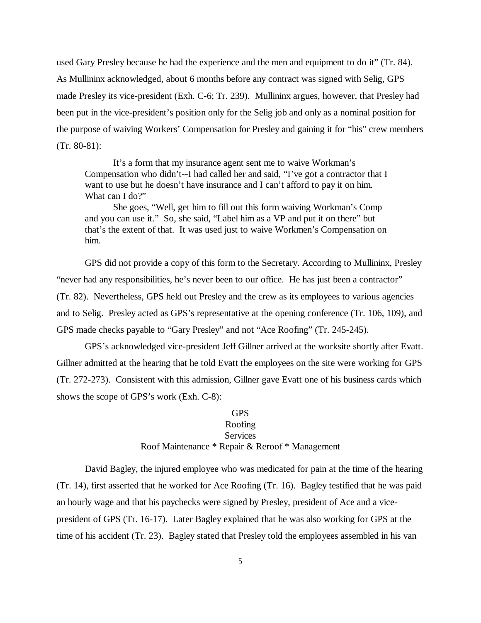used Gary Presley because he had the experience and the men and equipment to do it" (Tr. 84). As Mullininx acknowledged, about 6 months before any contract was signed with Selig, GPS made Presley its vice-president (Exh. C-6; Tr. 239). Mullininx argues, however, that Presley had been put in the vice-president's position only for the Selig job and only as a nominal position for the purpose of waiving Workers' Compensation for Presley and gaining it for "his" crew members (Tr. 80-81):

It's a form that my insurance agent sent me to waive Workman's Compensation who didn't--I had called her and said, "I've got a contractor that I want to use but he doesn't have insurance and I can't afford to pay it on him. What can I do?"

She goes, "Well, get him to fill out this form waiving Workman's Comp and you can use it." So, she said, "Label him as a VP and put it on there" but that's the extent of that. It was used just to waive Workmen's Compensation on him.

GPS did not provide a copy of this form to the Secretary. According to Mullininx, Presley "never had any responsibilities, he's never been to our office. He has just been a contractor" (Tr. 82). Nevertheless, GPS held out Presley and the crew as its employees to various agencies and to Selig. Presley acted as GPS's representative at the opening conference (Tr. 106, 109), and GPS made checks payable to "Gary Presley" and not "Ace Roofing" (Tr. 245-245).

GPS's acknowledged vice-president Jeff Gillner arrived at the worksite shortly after Evatt. Gillner admitted at the hearing that he told Evatt the employees on the site were working for GPS (Tr. 272-273). Consistent with this admission, Gillner gave Evatt one of his business cards which shows the scope of GPS's work (Exh. C-8):

# GPS Roofing **Services** Roof Maintenance \* Repair & Reroof \* Management

David Bagley, the injured employee who was medicated for pain at the time of the hearing (Tr. 14), first asserted that he worked for Ace Roofing (Tr. 16). Bagley testified that he was paid an hourly wage and that his paychecks were signed by Presley, president of Ace and a vicepresident of GPS (Tr. 16-17). Later Bagley explained that he was also working for GPS at the time of his accident (Tr. 23). Bagley stated that Presley told the employees assembled in his van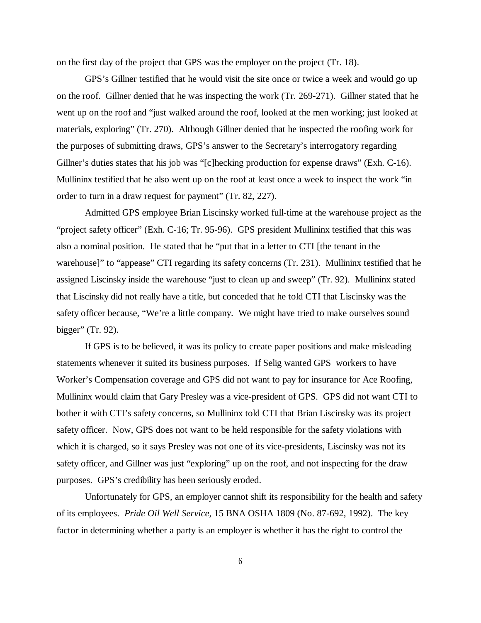on the first day of the project that GPS was the employer on the project (Tr. 18).

GPS's Gillner testified that he would visit the site once or twice a week and would go up on the roof. Gillner denied that he was inspecting the work (Tr. 269-271). Gillner stated that he went up on the roof and "just walked around the roof, looked at the men working; just looked at materials, exploring" (Tr. 270). Although Gillner denied that he inspected the roofing work for the purposes of submitting draws, GPS's answer to the Secretary's interrogatory regarding Gillner's duties states that his job was "[c]hecking production for expense draws" (Exh. C-16). Mullininx testified that he also went up on the roof at least once a week to inspect the work "in order to turn in a draw request for payment" (Tr. 82, 227).

Admitted GPS employee Brian Liscinsky worked full-time at the warehouse project as the "project safety officer" (Exh. C-16; Tr. 95-96). GPS president Mullininx testified that this was also a nominal position. He stated that he "put that in a letter to CTI [the tenant in the warehouse]" to "appease" CTI regarding its safety concerns (Tr. 231). Mullininx testified that he assigned Liscinsky inside the warehouse "just to clean up and sweep" (Tr. 92). Mullininx stated that Liscinsky did not really have a title, but conceded that he told CTI that Liscinsky was the safety officer because, "We're a little company. We might have tried to make ourselves sound bigger" (Tr. 92).

If GPS is to be believed, it was its policy to create paper positions and make misleading statements whenever it suited its business purposes. If Selig wanted GPS workers to have Worker's Compensation coverage and GPS did not want to pay for insurance for Ace Roofing, Mullininx would claim that Gary Presley was a vice-president of GPS. GPS did not want CTI to bother it with CTI's safety concerns, so Mullininx told CTI that Brian Liscinsky was its project safety officer. Now, GPS does not want to be held responsible for the safety violations with which it is charged, so it says Presley was not one of its vice-presidents, Liscinsky was not its safety officer, and Gillner was just "exploring" up on the roof, and not inspecting for the draw purposes. GPS's credibility has been seriously eroded.

Unfortunately for GPS, an employer cannot shift its responsibility for the health and safety of its employees. *Pride Oil Well Service,* 15 BNA OSHA 1809 (No. 87-692, 1992). The key factor in determining whether a party is an employer is whether it has the right to control the

6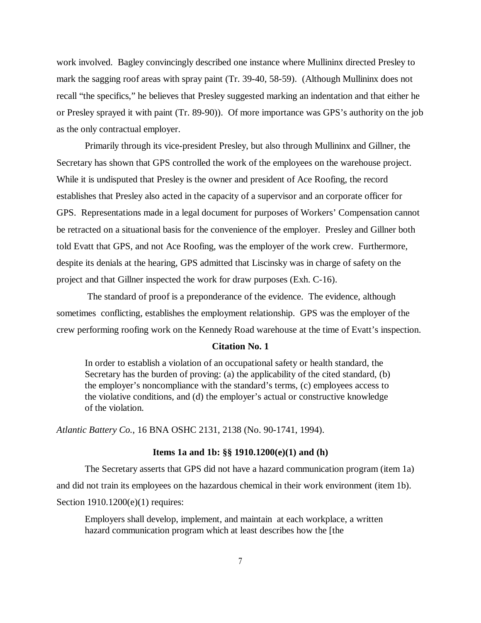work involved. Bagley convincingly described one instance where Mullininx directed Presley to mark the sagging roof areas with spray paint (Tr. 39-40, 58-59). (Although Mullininx does not recall "the specifics," he believes that Presley suggested marking an indentation and that either he or Presley sprayed it with paint (Tr. 89-90)). Of more importance was GPS's authority on the job as the only contractual employer.

 Primarily through its vice-president Presley, but also through Mullininx and Gillner, the Secretary has shown that GPS controlled the work of the employees on the warehouse project. While it is undisputed that Presley is the owner and president of Ace Roofing, the record establishes that Presley also acted in the capacity of a supervisor and an corporate officer for GPS. Representations made in a legal document for purposes of Workers' Compensation cannot be retracted on a situational basis for the convenience of the employer. Presley and Gillner both told Evatt that GPS, and not Ace Roofing, was the employer of the work crew. Furthermore, despite its denials at the hearing, GPS admitted that Liscinsky was in charge of safety on the project and that Gillner inspected the work for draw purposes (Exh. C-16).

 The standard of proof is a preponderance of the evidence. The evidence, although sometimes conflicting, establishes the employment relationship. GPS was the employer of the crew performing roofing work on the Kennedy Road warehouse at the time of Evatt's inspection.

### **Citation No. 1**

In order to establish a violation of an occupational safety or health standard, the Secretary has the burden of proving: (a) the applicability of the cited standard, (b) the employer's noncompliance with the standard's terms, (c) employees access to the violative conditions, and (d) the employer's actual or constructive knowledge of the violation.

*Atlantic Battery Co.*, 16 BNA OSHC 2131, 2138 (No. 90-1741, 1994).

#### **Items 1a and 1b: §§ 1910.1200(e)(1) and (h)**

The Secretary asserts that GPS did not have a hazard communication program (item 1a) and did not train its employees on the hazardous chemical in their work environment (item 1b). Section 1910.1200(e)(1) requires:

Employers shall develop, implement, and maintain at each workplace, a written hazard communication program which at least describes how the [the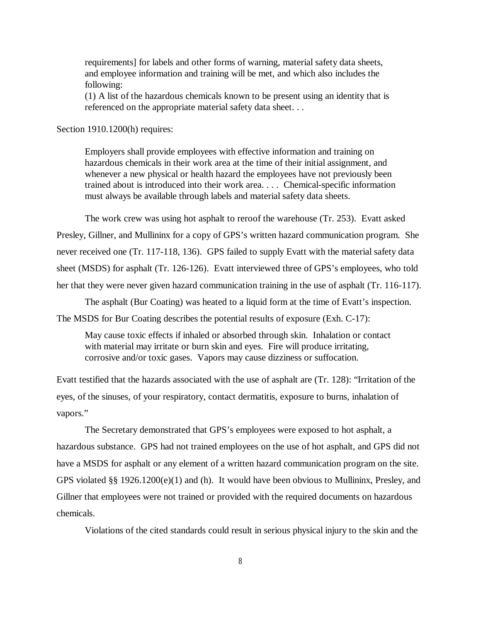requirements] for labels and other forms of warning, material safety data sheets, and employee information and training will be met, and which also includes the following:

(1) A list of the hazardous chemicals known to be present using an identity that is referenced on the appropriate material safety data sheet. . .

Section 1910.1200(h) requires:

Employers shall provide employees with effective information and training on hazardous chemicals in their work area at the time of their initial assignment, and whenever a new physical or health hazard the employees have not previously been trained about is introduced into their work area. . . . Chemical-specific information must always be available through labels and material safety data sheets.

The work crew was using hot asphalt to reroof the warehouse (Tr. 253). Evatt asked

Presley, Gillner, and Mullininx for a copy of GPS's written hazard communication program. She never received one (Tr. 117-118, 136). GPS failed to supply Evatt with the material safety data sheet (MSDS) for asphalt (Tr. 126-126). Evatt interviewed three of GPS's employees, who told her that they were never given hazard communication training in the use of asphalt (Tr. 116-117).

The asphalt (Bur Coating) was heated to a liquid form at the time of Evatt's inspection.

The MSDS for Bur Coating describes the potential results of exposure (Exh. C-17):

May cause toxic effects if inhaled or absorbed through skin. Inhalation or contact with material may irritate or burn skin and eyes. Fire will produce irritating, corrosive and/or toxic gases. Vapors may cause dizziness or suffocation.

Evatt testified that the hazards associated with the use of asphalt are (Tr. 128): "Irritation of the eyes, of the sinuses, of your respiratory, contact dermatitis, exposure to burns, inhalation of vapors."

The Secretary demonstrated that GPS's employees were exposed to hot asphalt, a hazardous substance. GPS had not trained employees on the use of hot asphalt, and GPS did not have a MSDS for asphalt or any element of a written hazard communication program on the site. GPS violated §§ 1926.1200(e)(1) and (h). It would have been obvious to Mullininx, Presley, and Gillner that employees were not trained or provided with the required documents on hazardous chemicals.

Violations of the cited standards could result in serious physical injury to the skin and the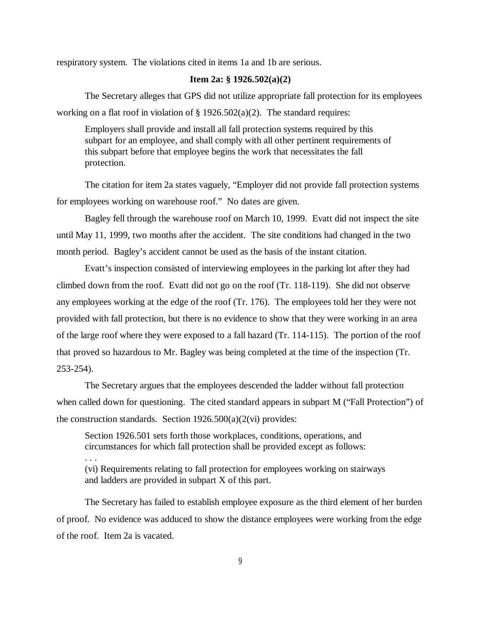respiratory system. The violations cited in items 1a and 1b are serious.

## **Item 2a: § 1926.502(a)(2)**

The Secretary alleges that GPS did not utilize appropriate fall protection for its employees working on a flat roof in violation of  $\S 1926.502(a)(2)$ . The standard requires:

Employers shall provide and install all fall protection systems required by this subpart for an employee, and shall comply with all other pertinent requirements of this subpart before that employee begins the work that necessitates the fall protection.

The citation for item 2a states vaguely, "Employer did not provide fall protection systems for employees working on warehouse roof." No dates are given.

Bagley fell through the warehouse roof on March 10, 1999. Evatt did not inspect the site until May 11, 1999, two months after the accident. The site conditions had changed in the two month period. Bagley's accident cannot be used as the basis of the instant citation.

Evatt's inspection consisted of interviewing employees in the parking lot after they had climbed down from the roof. Evatt did not go on the roof (Tr. 118-119). She did not observe any employees working at the edge of the roof (Tr. 176). The employees told her they were not provided with fall protection, but there is no evidence to show that they were working in an area of the large roof where they were exposed to a fall hazard (Tr. 114-115). The portion of the roof that proved so hazardous to Mr. Bagley was being completed at the time of the inspection (Tr. 253-254).

The Secretary argues that the employees descended the ladder without fall protection when called down for questioning. The cited standard appears in subpart M ("Fall Protection") of the construction standards. Section  $1926.500(a)(2(vi))$  provides:

Section 1926.501 sets forth those workplaces, conditions, operations, and circumstances for which fall protection shall be provided except as follows:

. . .

(vi) Requirements relating to fall protection for employees working on stairways and ladders are provided in subpart X of this part.

The Secretary has failed to establish employee exposure as the third element of her burden of proof. No evidence was adduced to show the distance employees were working from the edge of the roof. Item 2a is vacated.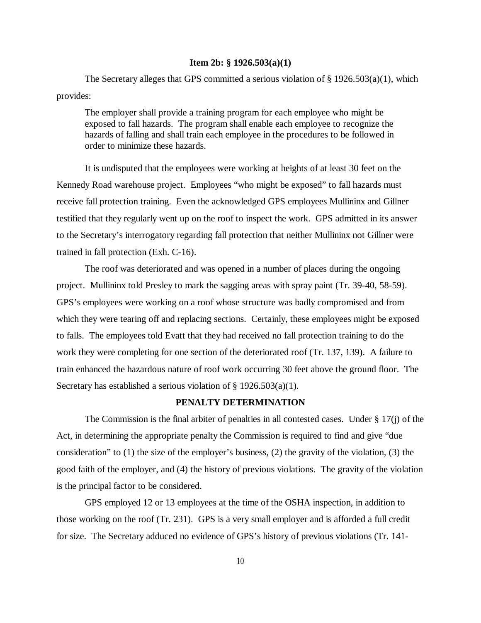#### **Item 2b: § 1926.503(a)(1)**

The Secretary alleges that GPS committed a serious violation of  $\S$  1926.503(a)(1), which provides:

The employer shall provide a training program for each employee who might be exposed to fall hazards. The program shall enable each employee to recognize the hazards of falling and shall train each employee in the procedures to be followed in order to minimize these hazards.

It is undisputed that the employees were working at heights of at least 30 feet on the Kennedy Road warehouse project. Employees "who might be exposed" to fall hazards must receive fall protection training. Even the acknowledged GPS employees Mullininx and Gillner testified that they regularly went up on the roof to inspect the work. GPS admitted in its answer to the Secretary's interrogatory regarding fall protection that neither Mullininx not Gillner were trained in fall protection (Exh. C-16).

The roof was deteriorated and was opened in a number of places during the ongoing project. Mullininx told Presley to mark the sagging areas with spray paint (Tr. 39-40, 58-59). GPS's employees were working on a roof whose structure was badly compromised and from which they were tearing off and replacing sections. Certainly, these employees might be exposed to falls. The employees told Evatt that they had received no fall protection training to do the work they were completing for one section of the deteriorated roof (Tr. 137, 139). A failure to train enhanced the hazardous nature of roof work occurring 30 feet above the ground floor. The Secretary has established a serious violation of § 1926.503(a)(1).

## **PENALTY DETERMINATION**

The Commission is the final arbiter of penalties in all contested cases. Under § 17(j) of the Act, in determining the appropriate penalty the Commission is required to find and give "due consideration" to (1) the size of the employer's business, (2) the gravity of the violation, (3) the good faith of the employer, and (4) the history of previous violations. The gravity of the violation is the principal factor to be considered.

GPS employed 12 or 13 employees at the time of the OSHA inspection, in addition to those working on the roof (Tr. 231). GPS is a very small employer and is afforded a full credit for size. The Secretary adduced no evidence of GPS's history of previous violations (Tr. 141